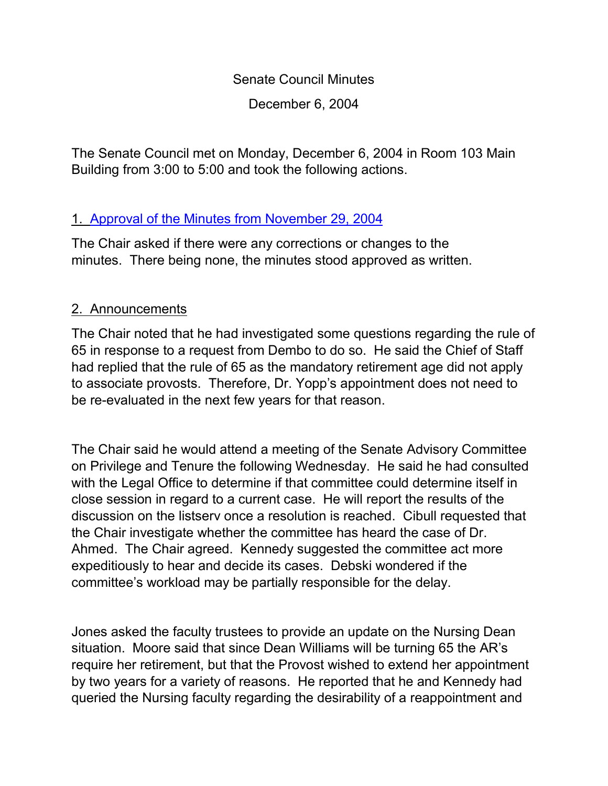Senate Council Minutes

December 6, 2004

The Senate Council met on Monday, December 6, 2004 in Room 103 Main Building from 3:00 to 5:00 and took the following actions.

# 1. [Approval of the Minutes from](http://www.uky.edu/USC/New/SCMinutes/SC%20Minutes%20Nov%2029-ToSC.htm) November 29, 2004

The Chair asked if there were any corrections or changes to the minutes. There being none, the minutes stood approved as written.

# 2. Announcements

The Chair noted that he had investigated some questions regarding the rule of 65 in response to a request from Dembo to do so. He said the Chief of Staff had replied that the rule of 65 as the mandatory retirement age did not apply to associate provosts. Therefore, Dr. Yopp's appointment does not need to be re-evaluated in the next few years for that reason.

The Chair said he would attend a meeting of the Senate Advisory Committee on Privilege and Tenure the following Wednesday. He said he had consulted with the Legal Office to determine if that committee could determine itself in close session in regard to a current case. He will report the results of the discussion on the listserv once a resolution is reached. Cibull requested that the Chair investigate whether the committee has heard the case of Dr. Ahmed. The Chair agreed. Kennedy suggested the committee act more expeditiously to hear and decide its cases. Debski wondered if the committee's workload may be partially responsible for the delay.

Jones asked the faculty trustees to provide an update on the Nursing Dean situation. Moore said that since Dean Williams will be turning 65 the AR's require her retirement, but that the Provost wished to extend her appointment by two years for a variety of reasons. He reported that he and Kennedy had queried the Nursing faculty regarding the desirability of a reappointment and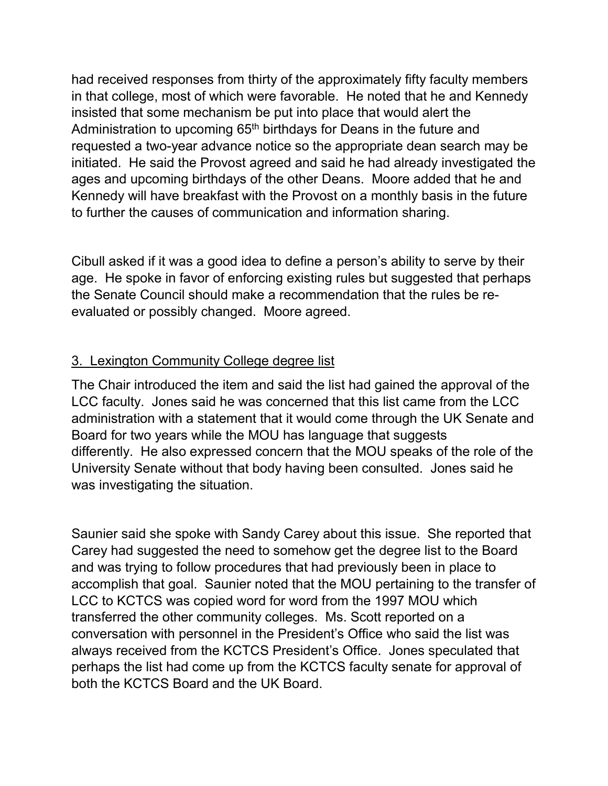had received responses from thirty of the approximately fifty faculty members in that college, most of which were favorable. He noted that he and Kennedy insisted that some mechanism be put into place that would alert the Administration to upcoming 65<sup>th</sup> birthdays for Deans in the future and requested a two-year advance notice so the appropriate dean search may be initiated. He said the Provost agreed and said he had already investigated the ages and upcoming birthdays of the other Deans. Moore added that he and Kennedy will have breakfast with the Provost on a monthly basis in the future to further the causes of communication and information sharing.

Cibull asked if it was a good idea to define a person's ability to serve by their age. He spoke in favor of enforcing existing rules but suggested that perhaps the Senate Council should make a recommendation that the rules be reevaluated or possibly changed. Moore agreed.

# 3. Lexington Community College degree list

The Chair introduced the item and said the list had gained the approval of the LCC faculty. Jones said he was concerned that this list came from the LCC administration with a statement that it would come through the UK Senate and Board for two years while the MOU has language that suggests differently. He also expressed concern that the MOU speaks of the role of the University Senate without that body having been consulted. Jones said he was investigating the situation.

Saunier said she spoke with Sandy Carey about this issue. She reported that Carey had suggested the need to somehow get the degree list to the Board and was trying to follow procedures that had previously been in place to accomplish that goal. Saunier noted that the MOU pertaining to the transfer of LCC to KCTCS was copied word for word from the 1997 MOU which transferred the other community colleges. Ms. Scott reported on a conversation with personnel in the President's Office who said the list was always received from the KCTCS President's Office. Jones speculated that perhaps the list had come up from the KCTCS faculty senate for approval of both the KCTCS Board and the UK Board.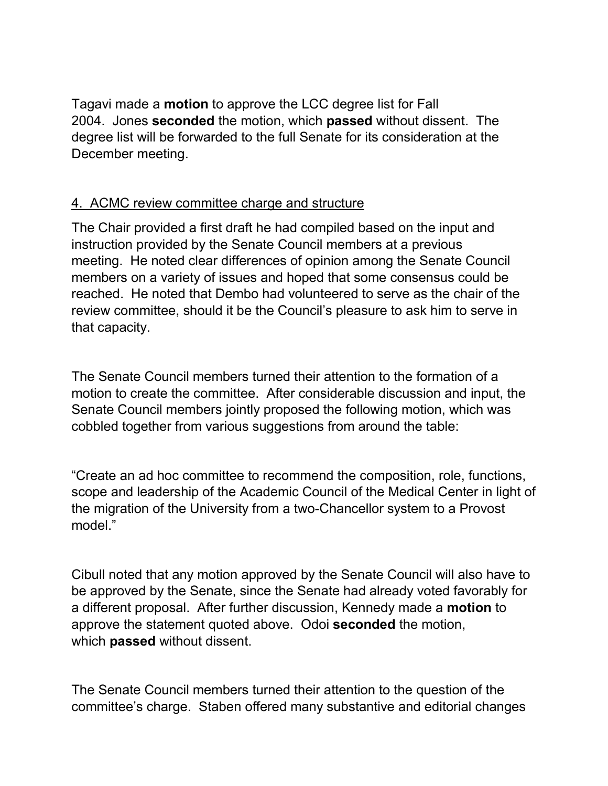Tagavi made a **motion** to approve the LCC degree list for Fall 2004. Jones **seconded** the motion, which **passed** without dissent. The degree list will be forwarded to the full Senate for its consideration at the December meeting.

## 4. ACMC review committee charge and structure

The Chair provided a first draft he had compiled based on the input and instruction provided by the Senate Council members at a previous meeting. He noted clear differences of opinion among the Senate Council members on a variety of issues and hoped that some consensus could be reached. He noted that Dembo had volunteered to serve as the chair of the review committee, should it be the Council's pleasure to ask him to serve in that capacity.

The Senate Council members turned their attention to the formation of a motion to create the committee. After considerable discussion and input, the Senate Council members jointly proposed the following motion, which was cobbled together from various suggestions from around the table:

"Create an ad hoc committee to recommend the composition, role, functions, scope and leadership of the Academic Council of the Medical Center in light of the migration of the University from a two-Chancellor system to a Provost model."

Cibull noted that any motion approved by the Senate Council will also have to be approved by the Senate, since the Senate had already voted favorably for a different proposal. After further discussion, Kennedy made a **motion** to approve the statement quoted above. Odoi **seconded** the motion, which **passed** without dissent.

The Senate Council members turned their attention to the question of the committee's charge. Staben offered many substantive and editorial changes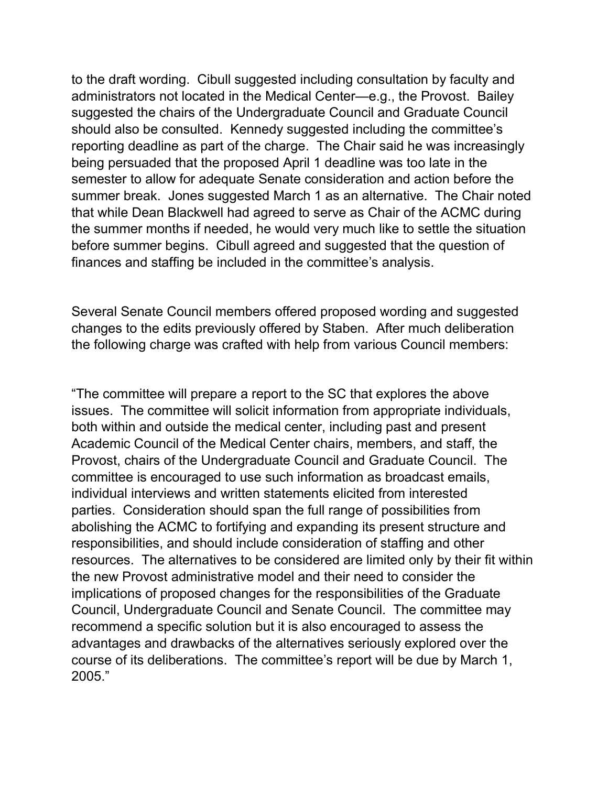to the draft wording. Cibull suggested including consultation by faculty and administrators not located in the Medical Center—e.g., the Provost. Bailey suggested the chairs of the Undergraduate Council and Graduate Council should also be consulted. Kennedy suggested including the committee's reporting deadline as part of the charge. The Chair said he was increasingly being persuaded that the proposed April 1 deadline was too late in the semester to allow for adequate Senate consideration and action before the summer break. Jones suggested March 1 as an alternative. The Chair noted that while Dean Blackwell had agreed to serve as Chair of the ACMC during the summer months if needed, he would very much like to settle the situation before summer begins. Cibull agreed and suggested that the question of finances and staffing be included in the committee's analysis.

Several Senate Council members offered proposed wording and suggested changes to the edits previously offered by Staben. After much deliberation the following charge was crafted with help from various Council members:

"The committee will prepare a report to the SC that explores the above issues. The committee will solicit information from appropriate individuals, both within and outside the medical center, including past and present Academic Council of the Medical Center chairs, members, and staff, the Provost, chairs of the Undergraduate Council and Graduate Council. The committee is encouraged to use such information as broadcast emails, individual interviews and written statements elicited from interested parties. Consideration should span the full range of possibilities from abolishing the ACMC to fortifying and expanding its present structure and responsibilities, and should include consideration of staffing and other resources. The alternatives to be considered are limited only by their fit within the new Provost administrative model and their need to consider the implications of proposed changes for the responsibilities of the Graduate Council, Undergraduate Council and Senate Council. The committee may recommend a specific solution but it is also encouraged to assess the advantages and drawbacks of the alternatives seriously explored over the course of its deliberations. The committee's report will be due by March 1, 2005."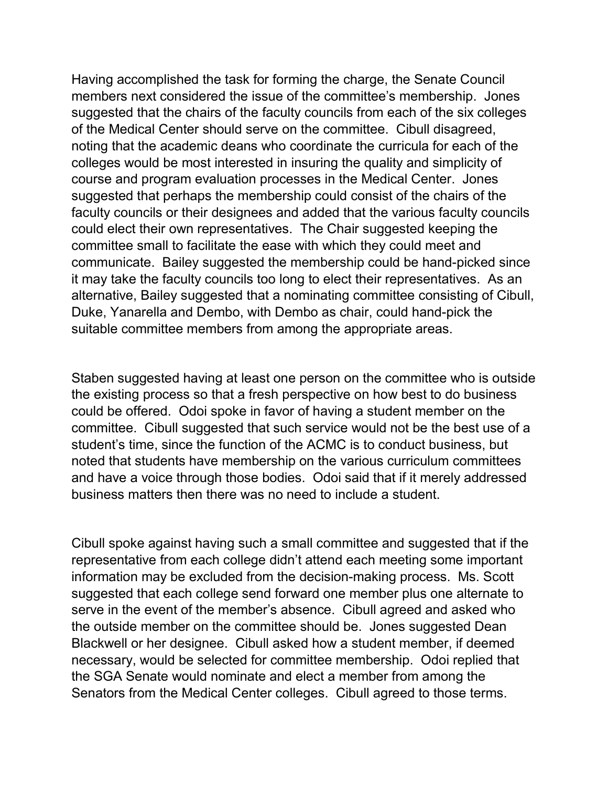Having accomplished the task for forming the charge, the Senate Council members next considered the issue of the committee's membership. Jones suggested that the chairs of the faculty councils from each of the six colleges of the Medical Center should serve on the committee. Cibull disagreed, noting that the academic deans who coordinate the curricula for each of the colleges would be most interested in insuring the quality and simplicity of course and program evaluation processes in the Medical Center. Jones suggested that perhaps the membership could consist of the chairs of the faculty councils or their designees and added that the various faculty councils could elect their own representatives. The Chair suggested keeping the committee small to facilitate the ease with which they could meet and communicate. Bailey suggested the membership could be hand-picked since it may take the faculty councils too long to elect their representatives. As an alternative, Bailey suggested that a nominating committee consisting of Cibull, Duke, Yanarella and Dembo, with Dembo as chair, could hand-pick the suitable committee members from among the appropriate areas.

Staben suggested having at least one person on the committee who is outside the existing process so that a fresh perspective on how best to do business could be offered. Odoi spoke in favor of having a student member on the committee. Cibull suggested that such service would not be the best use of a student's time, since the function of the ACMC is to conduct business, but noted that students have membership on the various curriculum committees and have a voice through those bodies. Odoi said that if it merely addressed business matters then there was no need to include a student.

Cibull spoke against having such a small committee and suggested that if the representative from each college didn't attend each meeting some important information may be excluded from the decision-making process. Ms. Scott suggested that each college send forward one member plus one alternate to serve in the event of the member's absence. Cibull agreed and asked who the outside member on the committee should be. Jones suggested Dean Blackwell or her designee. Cibull asked how a student member, if deemed necessary, would be selected for committee membership. Odoi replied that the SGA Senate would nominate and elect a member from among the Senators from the Medical Center colleges. Cibull agreed to those terms.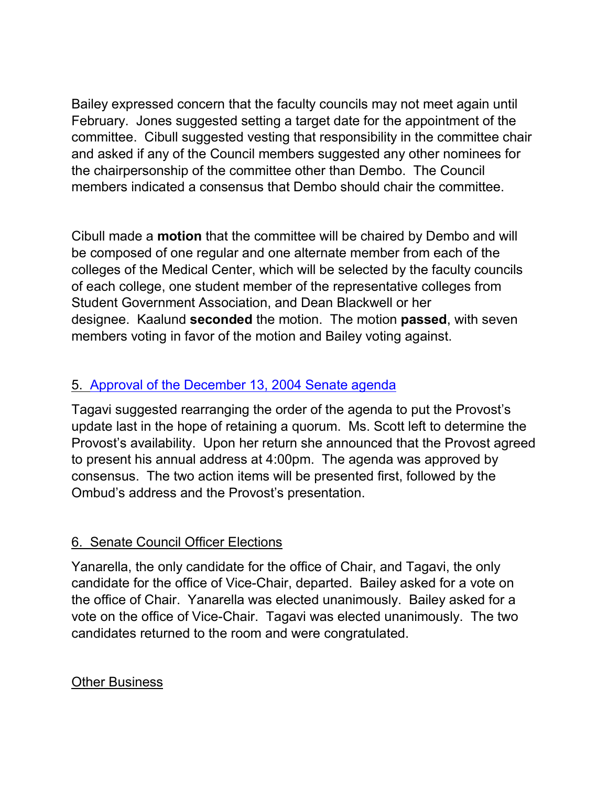Bailey expressed concern that the faculty councils may not meet again until February. Jones suggested setting a target date for the appointment of the committee. Cibull suggested vesting that responsibility in the committee chair and asked if any of the Council members suggested any other nominees for the chairpersonship of the committee other than Dembo. The Council members indicated a consensus that Dembo should chair the committee.

Cibull made a **motion** that the committee will be chaired by Dembo and will be composed of one regular and one alternate member from each of the colleges of the Medical Center, which will be selected by the faculty councils of each college, one student member of the representative colleges from Student Government Association, and Dean Blackwell or her designee. Kaalund **seconded** the motion. The motion **passed**, with seven members voting in favor of the motion and Bailey voting against.

# 5. [Approval of the December 13, 2004 Senate agenda](http://www.uky.edu/USC/New/SCAgendas/20041206/December%2013,%202004.doc)

Tagavi suggested rearranging the order of the agenda to put the Provost's update last in the hope of retaining a quorum. Ms. Scott left to determine the Provost's availability. Upon her return she announced that the Provost agreed to present his annual address at 4:00pm. The agenda was approved by consensus. The two action items will be presented first, followed by the Ombud's address and the Provost's presentation.

## 6. Senate Council Officer Elections

Yanarella, the only candidate for the office of Chair, and Tagavi, the only candidate for the office of Vice-Chair, departed. Bailey asked for a vote on the office of Chair. Yanarella was elected unanimously. Bailey asked for a vote on the office of Vice-Chair. Tagavi was elected unanimously. The two candidates returned to the room and were congratulated.

## Other Business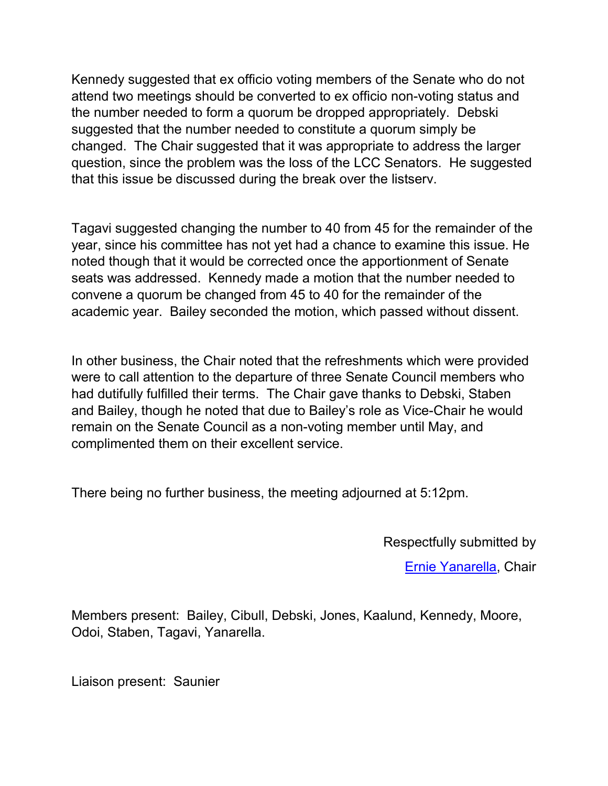Kennedy suggested that ex officio voting members of the Senate who do not attend two meetings should be converted to ex officio non-voting status and the number needed to form a quorum be dropped appropriately. Debski suggested that the number needed to constitute a quorum simply be changed. The Chair suggested that it was appropriate to address the larger question, since the problem was the loss of the LCC Senators. He suggested that this issue be discussed during the break over the listserv.

Tagavi suggested changing the number to 40 from 45 for the remainder of the year, since his committee has not yet had a chance to examine this issue. He noted though that it would be corrected once the apportionment of Senate seats was addressed. Kennedy made a motion that the number needed to convene a quorum be changed from 45 to 40 for the remainder of the academic year. Bailey seconded the motion, which passed without dissent.

In other business, the Chair noted that the refreshments which were provided were to call attention to the departure of three Senate Council members who had dutifully fulfilled their terms. The Chair gave thanks to Debski, Staben and Bailey, though he noted that due to Bailey's role as Vice-Chair he would remain on the Senate Council as a non-voting member until May, and complimented them on their excellent service.

There being no further business, the meeting adjourned at 5:12pm.

Respectfully submitted by

[Ernie Yanarella,](mailto:ejyana@email.uky.edu) Chair

Members present: Bailey, Cibull, Debski, Jones, Kaalund, Kennedy, Moore, Odoi, Staben, Tagavi, Yanarella.

Liaison present: Saunier